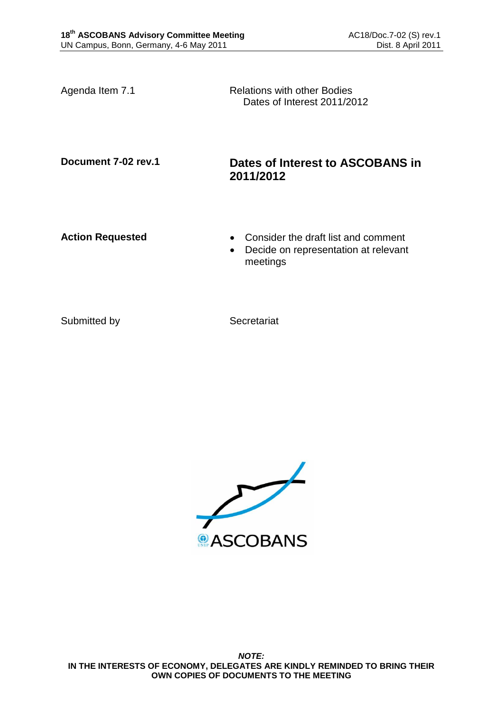Agenda Item 7.1 Relations with other Bodies Dates of Interest 2011/2012

## **Document 7-02 rev.1 Dates of Interest to ASCOBANS in 2011/2012**

- **Action Requested Consider the draft list and comment** 
	- Decide on representation at relevant meetings

Submitted by Secretariat

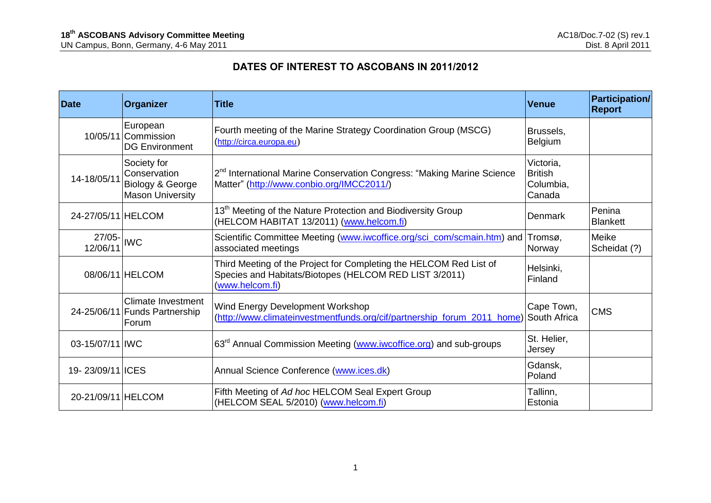## **DATES OF INTEREST TO ASCOBANS IN 2011/2012**

| <b>Date</b>           | <b>Organizer</b>                                                           | <b>Title</b>                                                                                                                                    | <b>Venue</b>                                       | <b>Participation/</b><br><b>Report</b> |
|-----------------------|----------------------------------------------------------------------------|-------------------------------------------------------------------------------------------------------------------------------------------------|----------------------------------------------------|----------------------------------------|
|                       | European<br>10/05/11 Commission<br><b>DG Environment</b>                   | Fourth meeting of the Marine Strategy Coordination Group (MSCG)<br>(http://circa.europa.eu)                                                     | Brussels,<br>Belgium                               |                                        |
| 14-18/05/11           | Society for<br>Conservation<br>Biology & George<br><b>Mason University</b> | 2 <sup>nd</sup> International Marine Conservation Congress: "Making Marine Science<br>Matter" (http://www.conbio.org/IMCC2011/)                 | Victoria,<br><b>British</b><br>Columbia,<br>Canada |                                        |
| 24-27/05/11 HELCOM    |                                                                            | 13 <sup>th</sup> Meeting of the Nature Protection and Biodiversity Group<br>(HELCOM HABITAT 13/2011) (www.helcom.fi)                            | Denmark                                            | Penina<br><b>Blankett</b>              |
| $27/05 -$<br>12/06/11 | <b>IWC</b>                                                                 | Scientific Committee Meeting (www.iwcoffice.org/sci_com/scmain.htm) and Tromsø,<br>associated meetings                                          | Norway                                             | Meike<br>Scheidat (?)                  |
|                       | 08/06/11 HELCOM                                                            | Third Meeting of the Project for Completing the HELCOM Red List of<br>Species and Habitats/Biotopes (HELCOM RED LIST 3/2011)<br>(www.helcom.fi) | Helsinki,<br>Finland                               |                                        |
|                       | <b>Climate Investment</b><br>24-25/06/11 Funds Partnership<br>Forum        | Wind Energy Development Workshop<br>(http://www.climateinvestmentfunds.org/cif/partnership forum 2011 home)                                     | Cape Town,<br>South Africa                         | <b>CMS</b>                             |
| 03-15/07/11 IWC       |                                                                            | 63 <sup>rd</sup> Annual Commission Meeting (www.iwcoffice.org) and sub-groups                                                                   | St. Helier,<br>Jersey                              |                                        |
| 19-23/09/11 ICES      |                                                                            | Annual Science Conference (www.ices.dk)                                                                                                         | Gdansk,<br>Poland                                  |                                        |
| 20-21/09/11 HELCOM    |                                                                            | Fifth Meeting of Ad hoc HELCOM Seal Expert Group<br>(HELCOM SEAL 5/2010) (www.helcom.fi)                                                        | Tallinn,<br>Estonia                                |                                        |